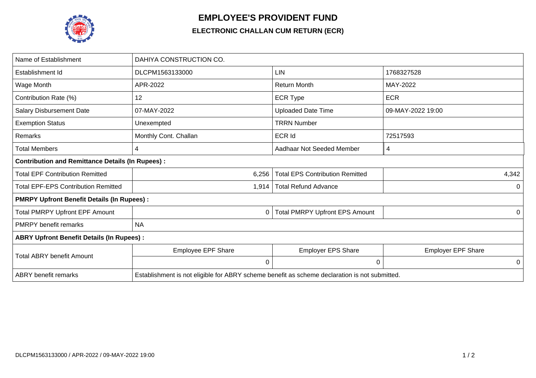

## **EMPLOYEE'S PROVIDENT FUND**

## **ELECTRONIC CHALLAN CUM RETURN (ECR)**

| Name of Establishment                                   | DAHIYA CONSTRUCTION CO.                                                                       |                                        |                           |  |  |  |
|---------------------------------------------------------|-----------------------------------------------------------------------------------------------|----------------------------------------|---------------------------|--|--|--|
| Establishment Id                                        | DLCPM1563133000                                                                               | <b>LIN</b>                             | 1768327528                |  |  |  |
| Wage Month                                              | APR-2022                                                                                      | <b>Return Month</b>                    | MAY-2022                  |  |  |  |
| Contribution Rate (%)                                   | 12                                                                                            | <b>ECR Type</b>                        | <b>ECR</b>                |  |  |  |
| <b>Salary Disbursement Date</b>                         | 07-MAY-2022                                                                                   | <b>Uploaded Date Time</b>              | 09-MAY-2022 19:00         |  |  |  |
| <b>Exemption Status</b>                                 | Unexempted                                                                                    | <b>TRRN Number</b>                     |                           |  |  |  |
| Remarks                                                 | Monthly Cont. Challan                                                                         | <b>ECR Id</b>                          | 72517593                  |  |  |  |
| <b>Total Members</b>                                    | 4                                                                                             | Aadhaar Not Seeded Member              | 4                         |  |  |  |
| <b>Contribution and Remittance Details (In Rupees):</b> |                                                                                               |                                        |                           |  |  |  |
| <b>Total EPF Contribution Remitted</b>                  | 6,256                                                                                         | <b>Total EPS Contribution Remitted</b> | 4,342                     |  |  |  |
| <b>Total EPF-EPS Contribution Remitted</b>              | 1,914                                                                                         | <b>Total Refund Advance</b>            | 0                         |  |  |  |
| <b>PMRPY Upfront Benefit Details (In Rupees):</b>       |                                                                                               |                                        |                           |  |  |  |
| <b>Total PMRPY Upfront EPF Amount</b>                   | 0                                                                                             | <b>Total PMRPY Upfront EPS Amount</b>  | 0                         |  |  |  |
| <b>PMRPY benefit remarks</b>                            | <b>NA</b>                                                                                     |                                        |                           |  |  |  |
| <b>ABRY Upfront Benefit Details (In Rupees):</b>        |                                                                                               |                                        |                           |  |  |  |
| <b>Total ABRY benefit Amount</b>                        | <b>Employee EPF Share</b>                                                                     | <b>Employer EPS Share</b>              | <b>Employer EPF Share</b> |  |  |  |
|                                                         | 0                                                                                             | $\mathbf 0$                            | 0                         |  |  |  |
| <b>ABRY</b> benefit remarks                             | Establishment is not eligible for ABRY scheme benefit as scheme declaration is not submitted. |                                        |                           |  |  |  |